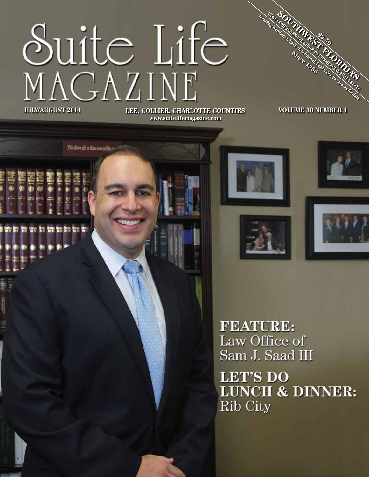# Suite Life<br>MAGAZINE **LEE, COLLIER, CHARLOTTE COUNTIES JULY/AUGUST 2014 VOLUME 30 NUMBER 4**

This above all: to thine own self by to

**www.suitelifemagazine.com**

**\$2.50**

MOST **COMPUTER FLORIDAY**<br>MARIA MESSERIDAY<br>MARIA MARIA DE STATE<br>SIMPLIFIED TO COMPUTER DE STATE GUIDE TO COMMERCIAL REAL ESTATE Including Warehouse, Maria Sales, Businesses for Sales, Businesses for Sales, Businesses for Sales, Businesses for Sales, Businesses for Sales, Businesses for Sales, Businesses for Sales, Businesses for Sales, Businesses f Since 1986

**FEATURE:** Law Office of Sam J. Saad III

**LET'S DO LUNCH & DINNER:** Rib City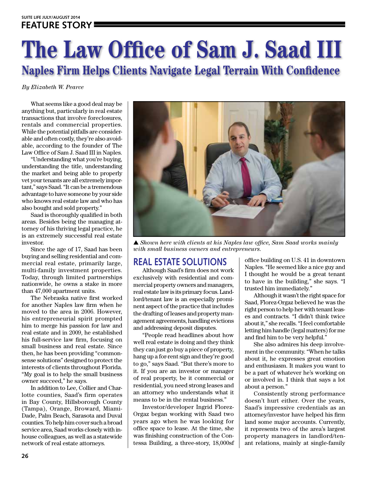# **The Law Office of Sam J. Saad III Naples Firm Helps Clients Navigate Legal Terrain With Confidence**

*By Elizabeth W. Pearce*

What seems like a good deal may be anything but, particularly in real estate transactions that involve foreclosures, rentals and commercial properties. While the potential pitfalls are considerable and often costly, they're also avoidable, according to the founder of The Law Office of Sam J. Saad III in Naples.

"Understanding what you're buying, understanding the title, understanding the market and being able to properly vet your tenants are all extremely important," says Saad. "It can be a tremendous advantage to have someone by your side who knows real estate law and who has also bought and sold property."

Saad is thoroughly qualified in both areas. Besides being the managing attorney of his thriving legal practice, he is an extremely successful real estate investor.

Since the age of 17, Saad has been buying and selling residential and commercial real estate, primarily large, multi-family investment properties. Today, through limited partnerships nationwide, he owns a stake in more than 47,000 apartment units.

The Nebraska native first worked for another Naples law firm when he moved to the area in 2006. However, his entrepreneurial spirit prompted him to merge his passion for law and real estate and in 2009, he established his full-service law firm, focusing on small business and real estate. Since then, he has been providing "commonsense solutions" designed to protect the interests of clients throughout Florida. "My goal is to help the small business owner succeed," he says.

In addition to Lee, Collier and Charlotte counties, Saad's firm operates in Bay County, Hillsborough County (Tampa), Orange, Broward, Miami-Dade, Palm Beach, Sarasota and Duval counties. To help him cover such a broad service area, Saad works closely with inhouse colleagues, as well as a statewide network of real estate attorneys.



▲ *Shown here with clients at his Naples law office, Sam Saad works mainly with small business owners and entrepreneurs.*

# **REAL ESTATE SOLUTIONS**

Although Saad's firm does not work exclusively with residential and commercial property owners and managers, real estate law is its primary focus. Landlord/tenant law is an especially prominent aspect of the practice that includes the drafting of leases and property management agreements, handling evictions and addressing deposit disputes.

"People read headlines about how well real estate is doing and they think they can just go buy a piece of property, hang up a for-rent sign and they're good to go," says Saad. "But there's more to it. If you are an investor or manager of real property, be it commercial or residential, you need strong leases and an attorney who understands what it means to be in the rental business."

Investor/developer Ingrid Florez-Orgaz began working with Saad two years ago when he was looking for office space to lease. At the time, she was finishing construction of the Contessa Building, a three-story, 18,000sf

office building on U.S. 41 in downtown Naples. "He seemed like a nice guy and I thought he would be a great tenant to have in the building," she says. "I trusted him immediately."

Although it wasn't the right space for Saad, Florez-Orgaz believed he was the right person to help her with tenant leases and contracts. "I didn't think twice about it," she recalls. "I feel comfortable letting him handle (legal matters) for me and find him to be very helpful."

She also admires his deep involvement in the community. "When he talks about it, he expresses great emotion and enthusiasm. It makes you want to be a part of whatever he's working on or involved in. I think that says a lot about a person."

Consistently strong performance doesn't hurt either. Over the years, Saad's impressive credentials as an attorney/investor have helped his firm land some major accounts. Currently, it represents two of the area's largest property managers in landlord/tenant relations, mainly at single-family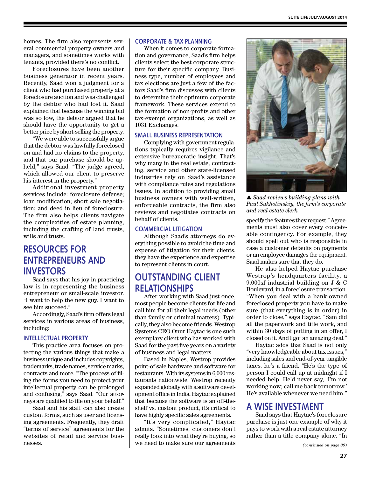homes. The firm also represents several commercial property owners and managers, and sometimes works with tenants, provided there's no conflict.

Foreclosures have been another business generator in recent years. Recently, Saad won a judgment for a client who had purchased property at a foreclosure auction and was challenged by the debtor who had lost it. Saad explained that because the winning bid was so low, the debtor argued that he should have the opportunity to get a better price by short-selling the property.

"We were able to successfully argue that the debtor was lawfully foreclosed on and had no claims to the property, and that our purchase should be upheld," says Saad. "The judge agreed, which allowed our client to preserve his interest in the property."

Additional investment property services include: foreclosure defense; loan modification; short sale negotiation; and deed in lieu of foreclosure. The firm also helps clients navigate the complexities of estate planning, including the crafting of land trusts, wills and trusts.

# **RESOURCES FOR ENTREPRENEURS AND INVESTORS**

Saad says that his joy in practicing law is in representing the business entrepreneur or small-scale investor. "I want to help the new guy. I want to see him succeed."

Accordingly, Saad's firm offers legal services in various areas of business, including:

#### **INTELLECTUAL PROPERTY**

This practice area focuses on protecting the various things that make a business unique and includes copyrights, trademarks, trade names, service marks, contracts and more. "The process of filing the forms you need to protect your intellectual property can be prolonged and confusing," says Saad. "Our attorneys are qualified to file on your behalf."

Saad and his staff can also create custom forms, such as user and licensing agreements. Frequently, they draft "terms of service" agreements for the websites of retail and service businesses.

#### **CORPORATE & TAX PLANNING**

When it comes to corporate formation and governance, Saad's firm helps clients select the best corporate structure for their specific company. Business type, number of employees and tax elections are just a few of the factors Saad's firm discusses with clients to determine their optimum corporate framework. These services extend to the formation of non-profits and other tax-exempt organizations, as well as 1031 Exchanges.

#### **SMALL BUSINESS REPRESENTATION**

Complying with government regulations typically requires vigilance and extensive bureaucratic insight. That's why many in the real estate, contracting, service and other state-licensed industries rely on Saad's assistance with compliance rules and regulations issues. In addition to providing small business owners with well-written, enforceable contracts, the firm also reviews and negotiates contracts on behalf of clients.

#### **COMMERCIAL LITIGATION**

Although Saad's attorneys do everything possible to avoid the time and expense of litigation for their clients, they have the experience and expertise to represent clients in court.

# **OUTSTANDING CLIENT RELATIONSHIPS**

After working with Saad just once, most people become clients for life and call him for all their legal needs (other than family or criminal matters). Typically, they also become friends. Westrop Systems CEO Onur Haytac is one such exemplary client who has worked with Saad for the past five years on a variety of business and legal matters.

Based in Naples, Westrop provides point-of sale hardware and software for restaurants. With its systems in 6,000 restaurants nationwide, Westrop recently expanded globally with a software development office in India. Haytac explained that because the software is an off-theshelf vs. custom product, it's critical to have highly specific sales agreements.

"It's very complicated," Haytac admits. "Sometimes, customers don't really look into what they're buying, so we need to make sure our agreements



▲ *Saad reviews building plans with Paul Sukholinskiy, the firm's corporate and real estate clerk.*

specify the features they request." Agreements must also cover every conceivable contingency. For example, they should spell out who is responsible in case a customer defaults on payments or an employee damages the equipment. Saad makes sure that they do.

He also helped Haytac purchase Westrop's headquarters facility, a 9,000sf industrial building on J & C Boulevard, in a foreclosure transaction. "When you deal with a bank-owned foreclosed property you have to make sure (that everything is in order) in order to close," says Haytac. "Sam did all the paperwork and title work, and within 30 days of putting in an offer, I closed on it. And I got an amazing deal."

Haytac adds that Saad is not only "very knowledgeable about tax issues," including sales and end-of-year tangible taxes, he's a friend. "He's the type of person I could call up at midnight if I needed help. He'd never say, 'I'm not working now; call me back tomorrow.' He's available whenever we need him."

### **A WISE INVESTMENT**

Saad says that Haytac's foreclosure purchase is just one example of why it pays to work with a real estate attorney rather than a title company alone. "In